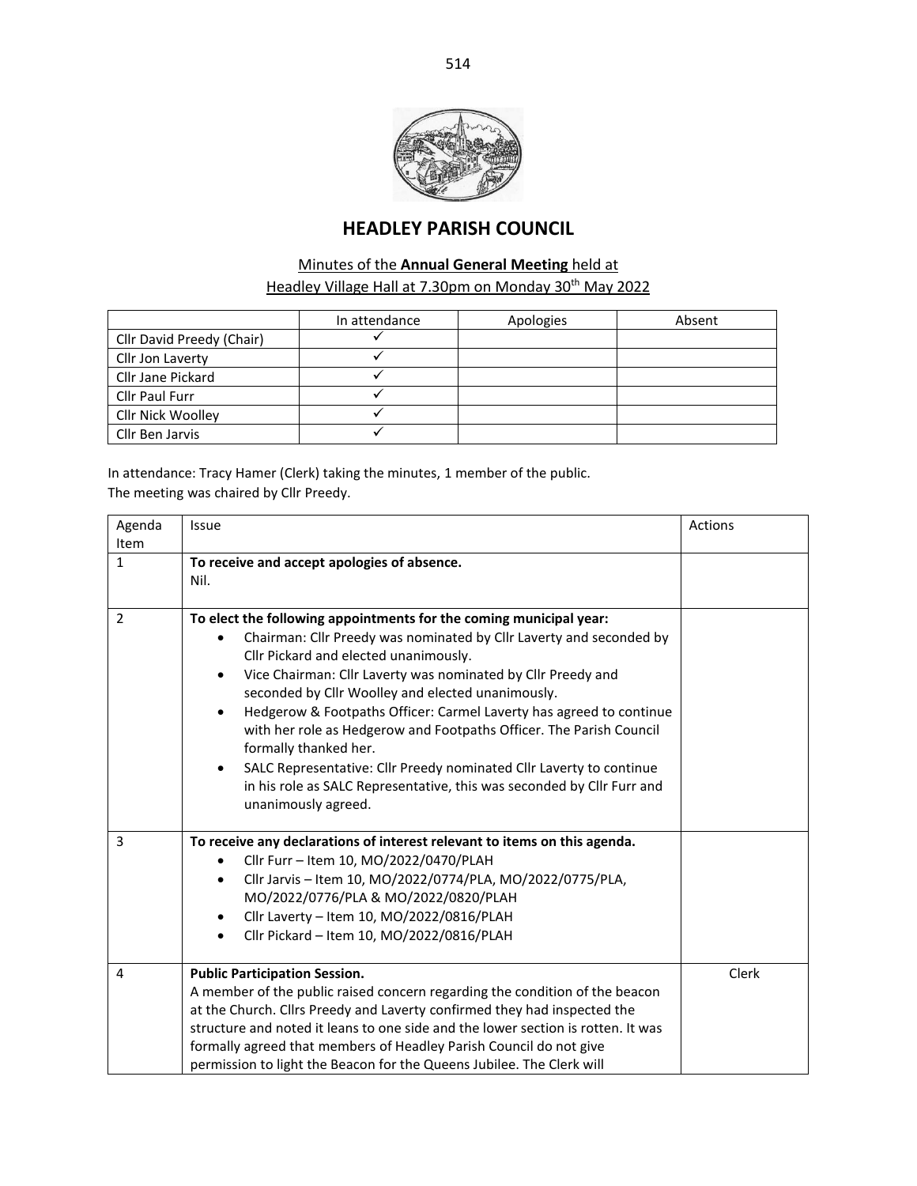

# **HEADLEY PARISH COUNCIL**

## Minutes of the **Annual General Meeting** held at Headley Village Hall at 7.30pm on Monday 30<sup>th</sup> May 2022

|                           | In attendance | Apologies | Absent |
|---------------------------|---------------|-----------|--------|
| Cllr David Preedy (Chair) |               |           |        |
| Cllr Jon Laverty          |               |           |        |
| Cllr Jane Pickard         |               |           |        |
| <b>Cllr Paul Furr</b>     |               |           |        |
| Cllr Nick Woolley         |               |           |        |
| Cllr Ben Jarvis           |               |           |        |

In attendance: Tracy Hamer (Clerk) taking the minutes, 1 member of the public. The meeting was chaired by Cllr Preedy.

| Agenda<br>Item | Issue                                                                                                                                                                                                                                                                                                                                                                                                                                                                                                                                                                                                                                                                    | Actions |
|----------------|--------------------------------------------------------------------------------------------------------------------------------------------------------------------------------------------------------------------------------------------------------------------------------------------------------------------------------------------------------------------------------------------------------------------------------------------------------------------------------------------------------------------------------------------------------------------------------------------------------------------------------------------------------------------------|---------|
| $\mathbf{1}$   | To receive and accept apologies of absence.<br>Nil.                                                                                                                                                                                                                                                                                                                                                                                                                                                                                                                                                                                                                      |         |
| $\overline{2}$ | To elect the following appointments for the coming municipal year:<br>Chairman: Cllr Preedy was nominated by Cllr Laverty and seconded by<br>Cllr Pickard and elected unanimously.<br>Vice Chairman: Cllr Laverty was nominated by Cllr Preedy and<br>$\bullet$<br>seconded by Cllr Woolley and elected unanimously.<br>Hedgerow & Footpaths Officer: Carmel Laverty has agreed to continue<br>٠<br>with her role as Hedgerow and Footpaths Officer. The Parish Council<br>formally thanked her.<br>SALC Representative: Cllr Preedy nominated Cllr Laverty to continue<br>in his role as SALC Representative, this was seconded by Cllr Furr and<br>unanimously agreed. |         |
| 3              | To receive any declarations of interest relevant to items on this agenda.<br>Cllr Furr - Item 10, MO/2022/0470/PLAH<br>Cllr Jarvis - Item 10, MO/2022/0774/PLA, MO/2022/0775/PLA,<br>$\bullet$<br>MO/2022/0776/PLA & MO/2022/0820/PLAH<br>Cllr Laverty - Item 10, MO/2022/0816/PLAH<br>$\bullet$<br>Cllr Pickard - Item 10, MO/2022/0816/PLAH<br>$\bullet$                                                                                                                                                                                                                                                                                                               |         |
| 4              | <b>Public Participation Session.</b><br>A member of the public raised concern regarding the condition of the beacon<br>at the Church. Cllrs Preedy and Laverty confirmed they had inspected the<br>structure and noted it leans to one side and the lower section is rotten. It was<br>formally agreed that members of Headley Parish Council do not give<br>permission to light the Beacon for the Queens Jubilee. The Clerk will                                                                                                                                                                                                                                       | Clerk   |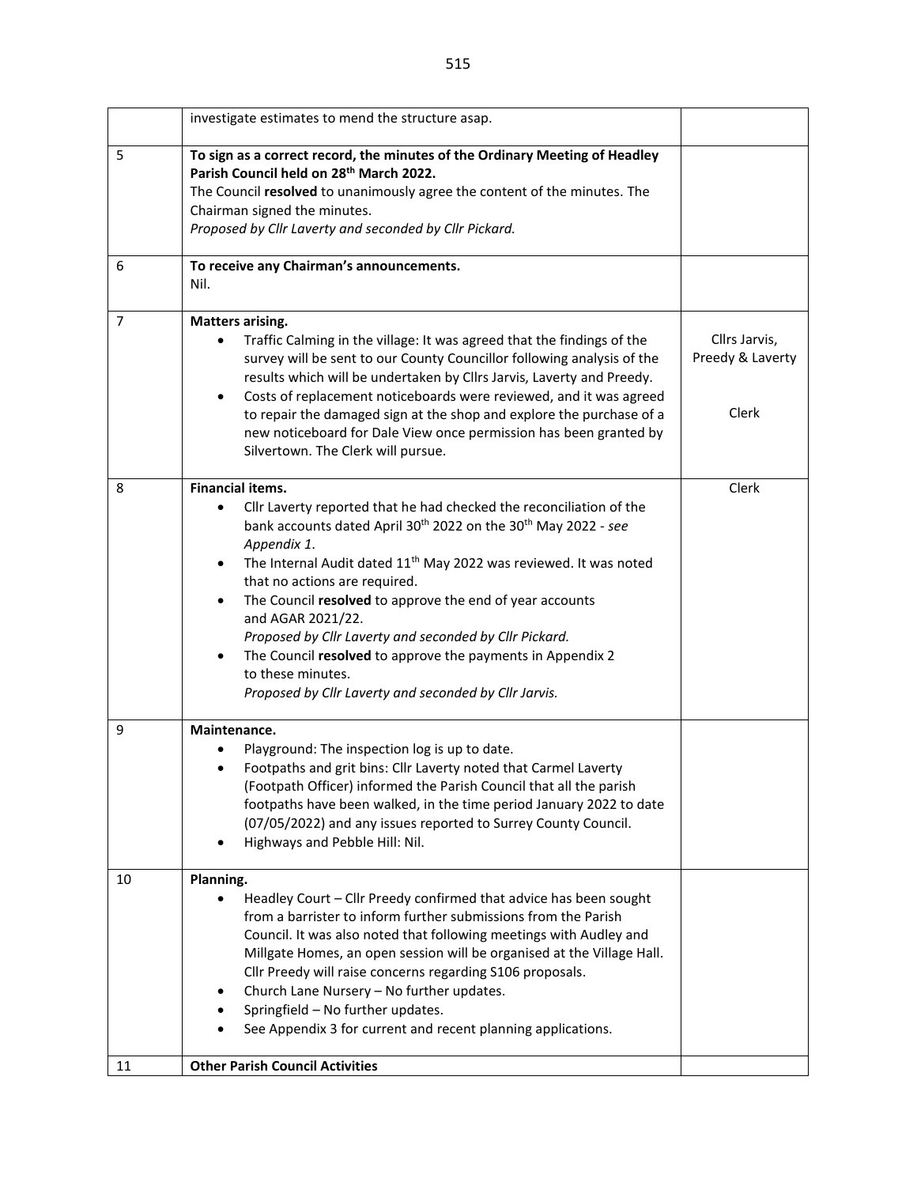|                | investigate estimates to mend the structure asap.                                                                                                                                                                                                                                                                                                                                                                                                                                                                                                                                                                     |                                                   |
|----------------|-----------------------------------------------------------------------------------------------------------------------------------------------------------------------------------------------------------------------------------------------------------------------------------------------------------------------------------------------------------------------------------------------------------------------------------------------------------------------------------------------------------------------------------------------------------------------------------------------------------------------|---------------------------------------------------|
| 5              | To sign as a correct record, the minutes of the Ordinary Meeting of Headley<br>Parish Council held on 28 <sup>th</sup> March 2022.<br>The Council resolved to unanimously agree the content of the minutes. The<br>Chairman signed the minutes.<br>Proposed by Cllr Laverty and seconded by Cllr Pickard.                                                                                                                                                                                                                                                                                                             |                                                   |
| 6              | To receive any Chairman's announcements.<br>Nil.                                                                                                                                                                                                                                                                                                                                                                                                                                                                                                                                                                      |                                                   |
| $\overline{7}$ | <b>Matters arising.</b><br>Traffic Calming in the village: It was agreed that the findings of the<br>survey will be sent to our County Councillor following analysis of the<br>results which will be undertaken by Cllrs Jarvis, Laverty and Preedy.<br>Costs of replacement noticeboards were reviewed, and it was agreed<br>٠<br>to repair the damaged sign at the shop and explore the purchase of a<br>new noticeboard for Dale View once permission has been granted by<br>Silvertown. The Clerk will pursue.                                                                                                    | Cllrs Jarvis,<br>Preedy & Laverty<br><b>Clerk</b> |
| 8              | <b>Financial items.</b><br>Cllr Laverty reported that he had checked the reconciliation of the<br>bank accounts dated April 30 <sup>th</sup> 2022 on the 30 <sup>th</sup> May 2022 - see<br>Appendix 1.<br>The Internal Audit dated 11 <sup>th</sup> May 2022 was reviewed. It was noted<br>٠<br>that no actions are required.<br>The Council resolved to approve the end of year accounts<br>and AGAR 2021/22.<br>Proposed by Cllr Laverty and seconded by Cllr Pickard.<br>The Council resolved to approve the payments in Appendix 2<br>to these minutes.<br>Proposed by Cllr Laverty and seconded by Cllr Jarvis. | Clerk                                             |
| 9              | Maintenance.<br>Playground: The inspection log is up to date.<br>Footpaths and grit bins: Cllr Laverty noted that Carmel Laverty<br>(Footpath Officer) informed the Parish Council that all the parish<br>footpaths have been walked, in the time period January 2022 to date<br>(07/05/2022) and any issues reported to Surrey County Council.<br>Highways and Pebble Hill: Nil.                                                                                                                                                                                                                                     |                                                   |
| 10<br>11       | Planning.<br>Headley Court - Cllr Preedy confirmed that advice has been sought<br>from a barrister to inform further submissions from the Parish<br>Council. It was also noted that following meetings with Audley and<br>Millgate Homes, an open session will be organised at the Village Hall.<br>Cllr Preedy will raise concerns regarding S106 proposals.<br>Church Lane Nursery - No further updates.<br>Springfield - No further updates.<br>See Appendix 3 for current and recent planning applications.<br><b>Other Parish Council Activities</b>                                                             |                                                   |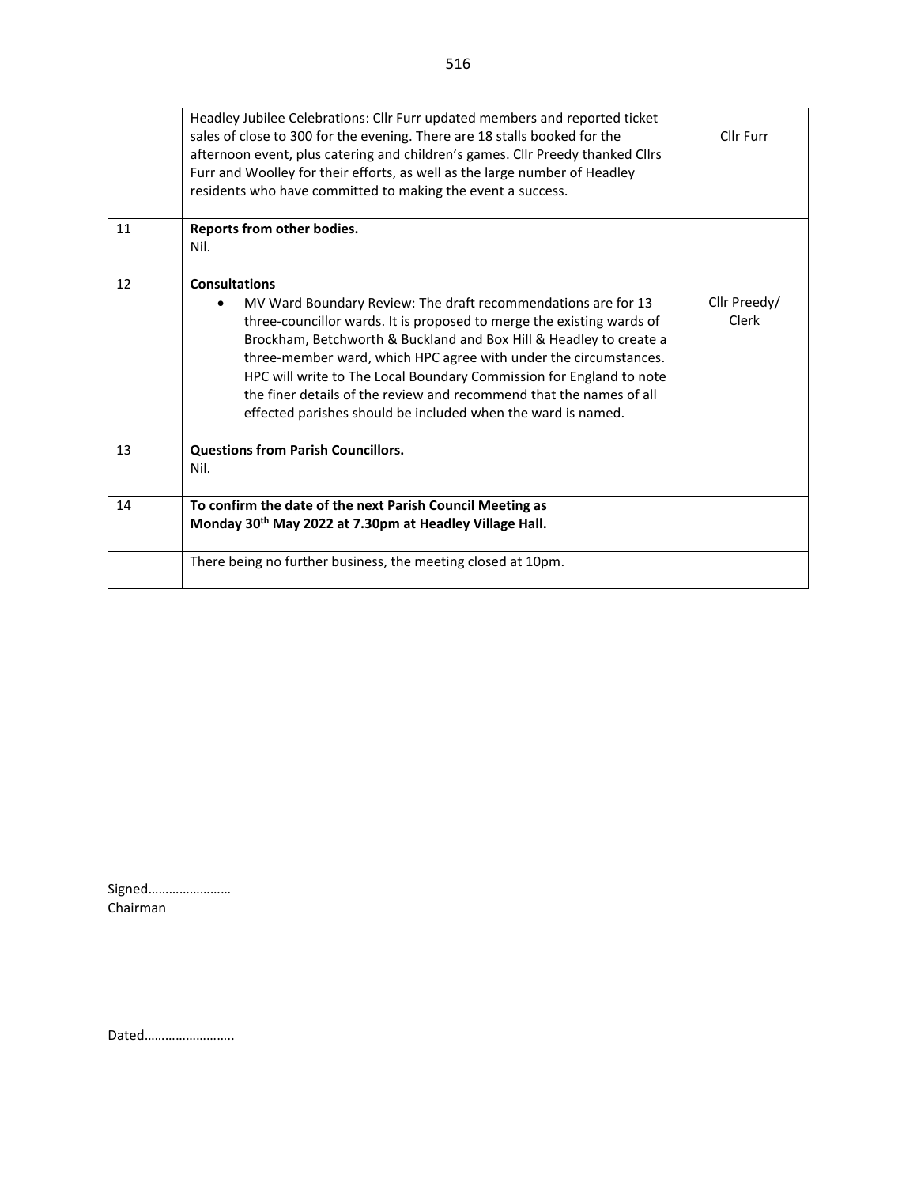|    | Headley Jubilee Celebrations: Cllr Furr updated members and reported ticket<br>sales of close to 300 for the evening. There are 18 stalls booked for the<br>afternoon event, plus catering and children's games. Cllr Preedy thanked Cllrs<br>Furr and Woolley for their efforts, as well as the large number of Headley<br>residents who have committed to making the event a success.                                                                                                                                             | Cllr Furr             |
|----|-------------------------------------------------------------------------------------------------------------------------------------------------------------------------------------------------------------------------------------------------------------------------------------------------------------------------------------------------------------------------------------------------------------------------------------------------------------------------------------------------------------------------------------|-----------------------|
| 11 | Reports from other bodies.<br>Nil.                                                                                                                                                                                                                                                                                                                                                                                                                                                                                                  |                       |
| 12 | <b>Consultations</b><br>MV Ward Boundary Review: The draft recommendations are for 13<br>$\bullet$<br>three-councillor wards. It is proposed to merge the existing wards of<br>Brockham, Betchworth & Buckland and Box Hill & Headley to create a<br>three-member ward, which HPC agree with under the circumstances.<br>HPC will write to The Local Boundary Commission for England to note<br>the finer details of the review and recommend that the names of all<br>effected parishes should be included when the ward is named. | Cllr Preedy/<br>Clerk |
| 13 | <b>Questions from Parish Councillors.</b><br>Nil.                                                                                                                                                                                                                                                                                                                                                                                                                                                                                   |                       |
| 14 | To confirm the date of the next Parish Council Meeting as<br>Monday 30 <sup>th</sup> May 2022 at 7.30pm at Headley Village Hall.                                                                                                                                                                                                                                                                                                                                                                                                    |                       |
|    | There being no further business, the meeting closed at 10pm.                                                                                                                                                                                                                                                                                                                                                                                                                                                                        |                       |

Signed…………………… Chairman

Dated……………………..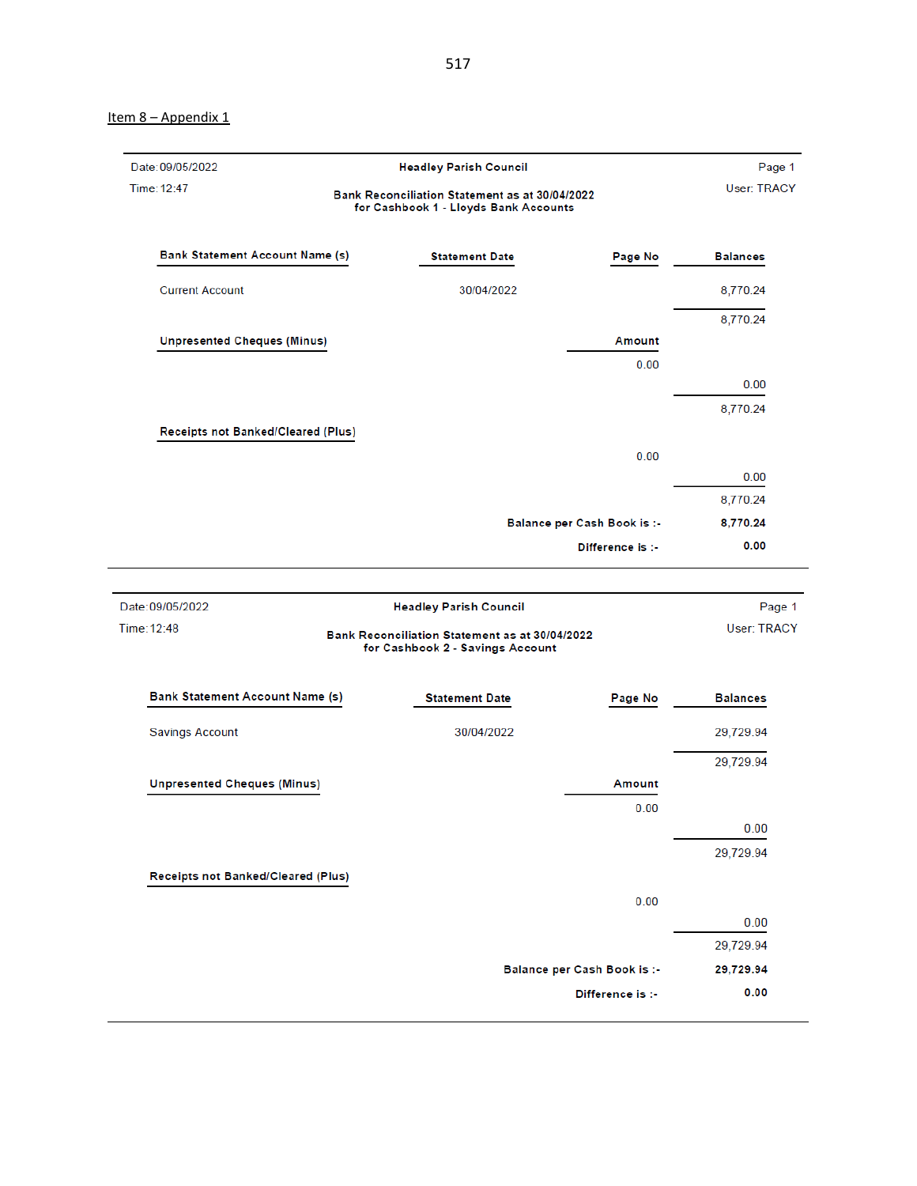#### Item 8 - Appendix 1

| Date: 09/05/2022                       | <b>Headley Parish Council</b>                                                                                       |                             | Page 1                |
|----------------------------------------|---------------------------------------------------------------------------------------------------------------------|-----------------------------|-----------------------|
| Time: 12:47                            | Bank Reconciliation Statement as at 30/04/2022<br>for Cashbook 1 - Lloyds Bank Accounts                             |                             | User: TRACY           |
| <b>Bank Statement Account Name (s)</b> | <b>Statement Date</b>                                                                                               | Page No                     | <b>Balances</b>       |
| <b>Current Account</b>                 | 30/04/2022                                                                                                          |                             | 8,770.24              |
|                                        |                                                                                                                     |                             | 8,770.24              |
| <b>Unpresented Cheques (Minus)</b>     |                                                                                                                     | <b>Amount</b>               |                       |
|                                        |                                                                                                                     | 0.00                        |                       |
|                                        |                                                                                                                     |                             | 0.00                  |
|                                        |                                                                                                                     |                             | 8,770.24              |
| Receipts not Banked/Cleared (Plus)     |                                                                                                                     |                             |                       |
|                                        |                                                                                                                     | 0.00                        |                       |
|                                        |                                                                                                                     |                             | 0.00                  |
|                                        |                                                                                                                     |                             | 8,770.24              |
|                                        |                                                                                                                     | Balance per Cash Book is :- | 8,770.24              |
|                                        |                                                                                                                     | Difference is :-            | 0.00                  |
|                                        |                                                                                                                     |                             |                       |
| Date: 09/05/2022<br>Time: 12:48        | <b>Headley Parish Council</b><br>Bank Reconciliation Statement as at 30/04/2022<br>for Cashbook 2 - Savings Account |                             | Page 1<br>User: TRACY |
| <b>Bank Statement Account Name (s)</b> | <b>Statement Date</b>                                                                                               | Page No                     | <b>Balances</b>       |
| <b>Savings Account</b>                 | 30/04/2022                                                                                                          |                             | 29,729.94             |
|                                        |                                                                                                                     |                             | 29,729.94             |
| <b>Unpresented Cheques (Minus)</b>     |                                                                                                                     | Amount                      |                       |
|                                        |                                                                                                                     | 0.00                        |                       |
|                                        |                                                                                                                     |                             | 0.00                  |
|                                        |                                                                                                                     |                             | 29,729.94             |
| Receipts not Banked/Cleared (Plus)     |                                                                                                                     |                             |                       |
|                                        |                                                                                                                     | 0.00                        |                       |
|                                        |                                                                                                                     |                             | 0.00                  |
|                                        |                                                                                                                     |                             | 29,729.94             |

29,729.94 Balance per Cash Book is :-

Difference is :-

 $0.00$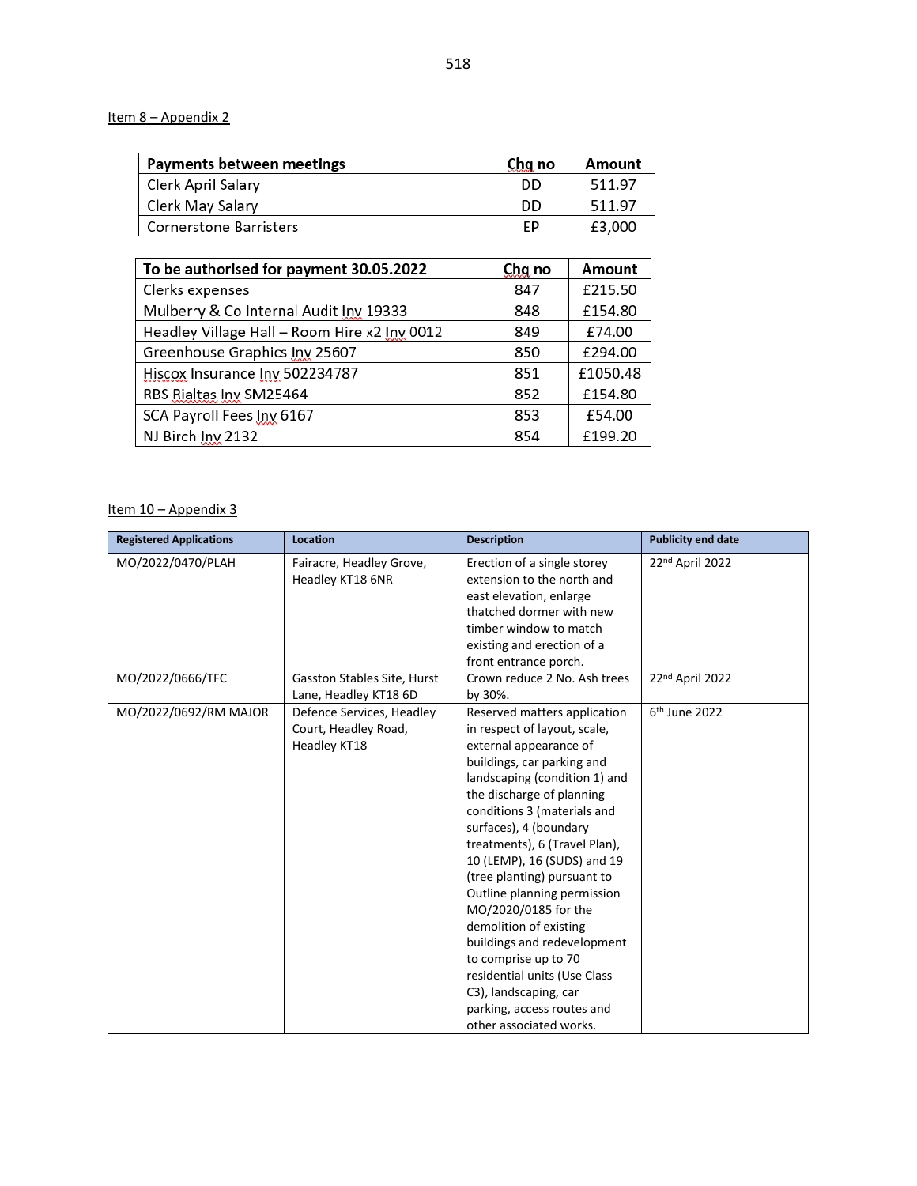### Item 8 – Appendix 2

| Payments between meetings     | Chg no | Amount |
|-------------------------------|--------|--------|
| Clerk April Salary            | DD     | 511.97 |
| Clerk May Salary              | DD     | 511.97 |
| <b>Cornerstone Barristers</b> | ЕP     | £3,000 |

| To be authorised for payment 30.05.2022      | Chg no | Amount   |
|----------------------------------------------|--------|----------|
| Clerks expenses                              | 847    | £215.50  |
| Mulberry & Co Internal Audit Inv 19333       | 848    | £154.80  |
| Headley Village Hall - Room Hire x2 Inv 0012 | 849    | £74.00   |
| Greenhouse Graphics Inv 25607                | 850    | £294.00  |
| Hiscox Insurance Inv 502234787               | 851    | £1050.48 |
| RBS Rialtas Inv SM25464                      | 852    | £154.80  |
| SCA Payroll Fees Inv 6167                    | 853    | £54.00   |
| NJ Birch Inv 2132                            | 854    | £199.20  |

#### Item 10 - Appendix 3

| <b>Registered Applications</b> | Location                                                          | <b>Description</b>                                                                                                                                                                                                                                                                                                                                                                                                                                                                                                                                                                                   | <b>Publicity end date</b> |
|--------------------------------|-------------------------------------------------------------------|------------------------------------------------------------------------------------------------------------------------------------------------------------------------------------------------------------------------------------------------------------------------------------------------------------------------------------------------------------------------------------------------------------------------------------------------------------------------------------------------------------------------------------------------------------------------------------------------------|---------------------------|
| MO/2022/0470/PLAH              | Fairacre, Headley Grove,<br>Headley KT18 6NR                      | Erection of a single storey<br>extension to the north and<br>east elevation, enlarge<br>thatched dormer with new<br>timber window to match<br>existing and erection of a<br>front entrance porch.                                                                                                                                                                                                                                                                                                                                                                                                    | 22nd April 2022           |
| MO/2022/0666/TFC               | <b>Gasston Stables Site, Hurst</b><br>Lane, Headley KT18 6D       | Crown reduce 2 No. Ash trees<br>by 30%.                                                                                                                                                                                                                                                                                                                                                                                                                                                                                                                                                              | 22nd April 2022           |
| MO/2022/0692/RM MAJOR          | Defence Services, Headley<br>Court, Headley Road,<br>Headley KT18 | Reserved matters application<br>in respect of layout, scale,<br>external appearance of<br>buildings, car parking and<br>landscaping (condition 1) and<br>the discharge of planning<br>conditions 3 (materials and<br>surfaces), 4 (boundary<br>treatments), 6 (Travel Plan),<br>10 (LEMP), 16 (SUDS) and 19<br>(tree planting) pursuant to<br>Outline planning permission<br>MO/2020/0185 for the<br>demolition of existing<br>buildings and redevelopment<br>to comprise up to 70<br>residential units (Use Class<br>C3), landscaping, car<br>parking, access routes and<br>other associated works. | 6 <sup>th</sup> June 2022 |